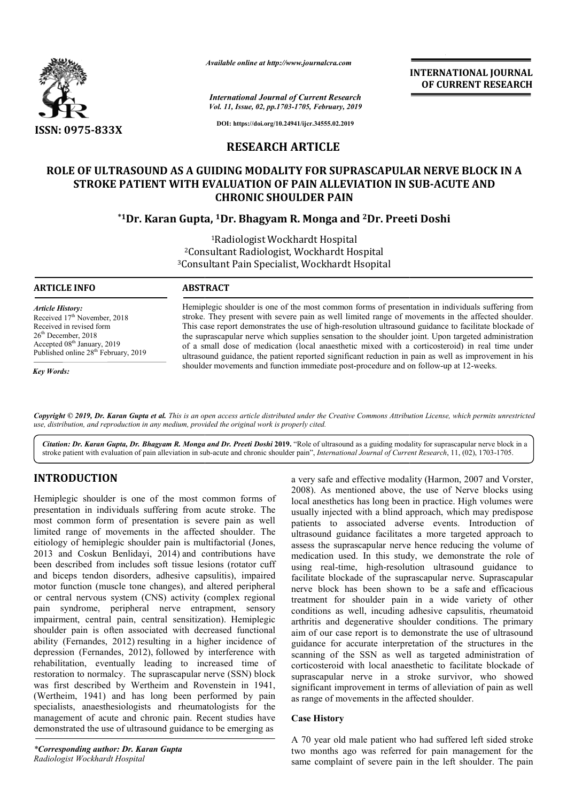

*Available online at http://www.journalcra.com*

*International Journal of Current Research Vol. 11, Issue, 02, pp.1703-1705, February, 2019* **INTERNATIONAL JOURNAL OF CURRENT RESEARCH**

**DOI: https://doi.org/10.24941/ijcr.34555.02.2019**

## **RESEARCH ARTICLE**

# ROLE OF ULTRASOUND AS A GUIDING MODALITY FOR SUPRASCAPULAR NERVE BLOCK IN A **STROKE PATIENT WITH EVALUATION OF PAIN ALLEVIATION IN SUB SUB-ACUTE AND CHRONIC SHOULDER PAIN**

## $^{\ast}$ 1Dr. Karan Gupta, <sup>1</sup>Dr. Bhagyam R. Monga and <sup>2</sup>Dr. Preeti Doshi

2Consultant Radiologist, Wockhardt Hospital <sup>2</sup>Consultant Radiologist, Wockhardt Hospital<br><sup>3</sup>Consultant Pain Specialist, Wockhardt Hsopital 1Radiologist Wockhardt Hospital

#### **ARTICLE INFO ABSTRACT**

*Article History:* Received 17<sup>th</sup> November, 2018 Received in revised form 26th December, 2018 Accepted 08<sup>th</sup> January, 2019 Published online 28<sup>th</sup> February, 2019

*Key Words:*

Hemiplegic shoulder is one of the most common forms of presentation in individuals suffering from stroke. They present with severe pain as well limited range of movements in the affected shoulder. This case report demonstrates the use of high-resolution ultrasound guidance to facilitate blockade of the suprascapular nerve which supplies sensation to the shoulder joint. Upon targeted administration of a small dose of medication (local anaesthetic mixed with a corticosteroid) in real time under ultrasound gui guidance, the patient reported significant reduction in pain as well as improvement in his shoulder movements and function immediate post-procedure and on follow Hemiplegic shoulder is one of the most common forms of presentation in individuals suffering from stroke. They present with severe pain as well limited range of movements in the affected shoulder. This case report demonstr

Copyright © 2019, Dr. Karan Gupta et al. This is an open access article distributed under the Creative Commons Attribution License, which permits unrestrictea *use, distribution, and reproduction in any medium, provided the original work is properly cited.*

Citation: Dr. Karan Gupta, Dr. Bhagyam R. Monga and Dr. Preeti Doshi 2019. "Role of ultrasound as a guiding modality for suprascapular nerve block in a stroke patient with evaluation of pain alleviation in sub-acute and chronic shoulder pain", *International Journal of Current Research*, 11, (02), 1703-1705.

## **INTRODUCTION**

Hemiplegic shoulder is one of the most common forms of presentation in individuals suffering from acute stroke. The most common form of presentation is severe pain as well limited range of movements in the affected shoulder. The eitiology of hemiplegic shoulder pain is multifactorial (Jones, 2013 and Coskun Benlidayi, 2014) and contributions have been described from includes soft tissue lesions (rotator cuff and biceps tendon disorders, adhesive capsulitis), impaired motor function (muscle tone changes), and altered peripheral or central nervous system (CNS) activity (complex regional pain syndrome, peripheral nerve entrapment, sensory impairment, central pain, central sensitization). Hemiplegic shoulder pain is often associated with decreased functional ability (Fernandes, 2012) resulting in a higher incidence of depression (Fernandes, 2012), followed by interference with rehabilitation, eventually leading to increased time of restoration to normalcy. The suprascapular nerve (SSN) block was first described by Wertheim and Rovenstein in 1941, (Wertheim, 1941) and has long been performed by pain specialists, anaesthesiologists and rheumatologists for the management of acute and chronic pain. Recent studies have demonstrated the use of ultrasound guidance to be emerging as

*\*Corresponding author: Dr. Karan Gupta Radiologist Wockhardt Hospital*

a very safe and effective modality (Harmon, 2007 and Vorster, 2008). As mentioned above, the use of Nerve blocks using local anesthetics has long been in practice. High volumes were usually injected with a blind approach, which may predispose patients to associated adverse events. Introduction of ultrasound guidance facilitates a more targeted approach to assess the suprascapular nerve hence reducing the volume of medication used. In this study, we demonstrate the role of using real-time, high-resolution ultrasound guidance to facilitate blockade of the suprascapular nerve. Suprascapular nerve block has been shown to be a safe and efficacious treatment for shoulder pain in a wide variety of other conditions as well, incuding adhesive capsulitis, rheumatoid arthritis and degenerative shoulder conditions. The primary aim of our case report is to demonstrate the use of ultrasound guidance for accurate interpretation of the structures in the scanning of the SSN as well as targeted administration of corticosteroid with local anaesthetic to facilitate blockade of suprascapular nerve in a stroke survivor, who showed significant improvement in terms of alleviation of pain as well as range of movements in the affected shoulder. local anesthetics has long been in practice. High volumes were usually injected with a blind approach, which may predispose patients to associated adverse events. Introduction of ultrasound guidance facilitates a more targ treatment for shoulder pain in a wide variety of other conditions as well, incuding adhesive capsulitis, rheumatoid arthritis and degenerative shoulder conditions. The primary aim of our case report is to demonstrate the u ar nerve in a stroke survivor,<br>improvement in terms of alleviation<br>movements in the affected shoulder. INTERNATIONAL JOUKNAL<br> **INTERNATIONAL CONVERNATION CONVERNATION**<br> **CONVERNATION CONVERNATION INTERNATION IN CONVERNATION (FOR CONVERNATION INTERNATION IN SUB-ACUTE AND<br>
<b>ARTICLE**<br> **PY FOR SUPRASCAPULAR NERVE BLOCK IN A PAI** 

#### **Case History**

A 70 year old male patient who had suffered left sided stroke two months ago was referred for pain management for the same complaint of severe pain in the left shoulder. The pain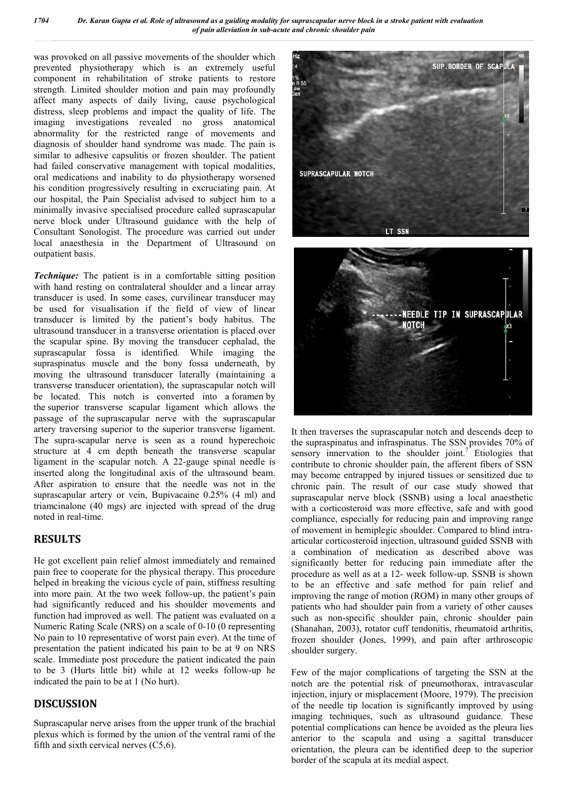was provoked on all passive movements of the shoulder which prevented physiotherapy which is an extremely useful component in rehabilitation of stroke patients to restore strength. Limited shoulder motion and pain may profoundly affect many aspects of daily living, cause psychological distress, sleep problems and impact the quality of life. The imaging investigations revealed no gross anatomical abnormality for the restricted range of movements and diagnosis of shoulder hand syndrome was made. The pain is similar to adhesive capsulitis or frozen shoulder. The patient had failed conservative management with topical modalities, oral medications and inability to do physiotherapy worsened his condition progressively resulting in excruciating pain. At our hospital, the Pain Specialist advised to subject him to a minimally invasive specialised procedure called suprascapular nerve block under Ultrasound guidance with the help of Consultant Sonologist. The procedure was carried out under local anaesthesia in the Department of Ultrasound on outpatient basis.

*Technique:* The patient is in a comfortable sitting position with hand resting on contralateral shoulder and a linear array transducer is used. In some cases, curvilinear transducer may be used for visualisation if the field of view of linear transducer is limited by the patient's body habitus. The ultrasound transducer in a transverse orientation is placed over the scapular spine. By moving the transducer cephalad, the suprascapular fossa is identified. While imaging the supraspinatus muscle and the bony fossa underneath, by moving the ultrasound transducer laterally (maintaining a transverse transducer orientation), the suprascapular notch will be located. This notch is converted into a foramen by the superior transverse scapular ligament which allows the passage of the suprascapular nerve with the suprascapular artery traversing superior to the superior transverse ligament. The supra-scapular nerve is seen as a round hyperechoic structure at 4 cm depth beneath the transverse scapular ligament in the scapular notch. A 22-gauge spinal needle is inserted along the longitudinal axis of the ultrasound beam. After aspiration to ensure that the needle was not in the suprascapular artery or vein, Bupivacaine 0.25% (4 ml) and triamcinalone (40 mgs) are injected with spread of the drug noted in real-time.

## **RESULTS**

He got excellent pain relief almost immediately and remained pain free to cooperate for the physical therapy. This procedure helped in breaking the vicious cycle of pain, stiffness resulting into more pain. At the two week follow-up, the patient's pain had significantly reduced and his shoulder movements and function had improved as well. The patient was evaluated on a Numeric Rating Scale (NRS) on a scale of 0-10 (0 representing No pain to 10 representative of worst pain ever). At the time of presentation the patient indicated his pain to be at 9 on NRS scale. Immediate post procedure the patient indicated the pain to be 3 (Hurts little bit) while at 12 weeks follow-up he indicated the pain to be at 1 (No hurt).

# **DISCUSSION**

Suprascapular nerve arises from the upper trunk of the brachial plexus which is formed by the union of the ventral rami of the fifth and sixth cervical nerves (C5,6).



It then traverses the suprascapular notch and descends deep to the supraspinatus and infraspinatus. The SSN provides 70% of sensory innervation to the shoulder joint.<sup>7</sup> Etiologies that contribute to chronic shoulder pain, the afferent fibers of SSN may become entrapped by injured tissues or sensitized due to chronic pain. The result of our case study showed that suprascapular nerve block (SSNB) using a local anaesthetic with a corticosteroid was more effective, safe and with good compliance, especially for reducing pain and improving range of movement in hemiplegic shoulder. Compared to blind intraarticular corticosteroid injection, ultrasound guided SSNB with a combination of medication as described above was significantly better for reducing pain immediate after the procedure as well as at a 12- week follow-up. SSNB is shown to be an effective and safe method for pain relief and improving the range of motion (ROM) in many other groups of patients who had shoulder pain from a variety of other causes such as non-specific shoulder pain, chronic shoulder pain (Shanahan, 2003), rotator cuff tendonitis, rheumatoid arthritis, frozen shoulder (Jones, 1999), and pain after arthroscopic shoulder surgery.

Few of the major complications of targeting the SSN at the notch are the potential risk of pneumothorax, intravascular injection, injury or misplacement (Moore, 1979). The precision of the needle tip location is significantly improved by using imaging techniques, such as ultrasound guidance. These potential complications can hence be avoided as the pleura lies anterior to the scapula and using a sagittal transducer orientation, the pleura can be identified deep to the superior border of the scapula at its medial aspect.

*<sup>1704</sup> Dr. Karan Gupta et al. Role of ultrasound as a guiding modality for suprascapular nerve block in a stroke patient with evaluation of pain alleviation in sub-acute and chronic shoulder pain*